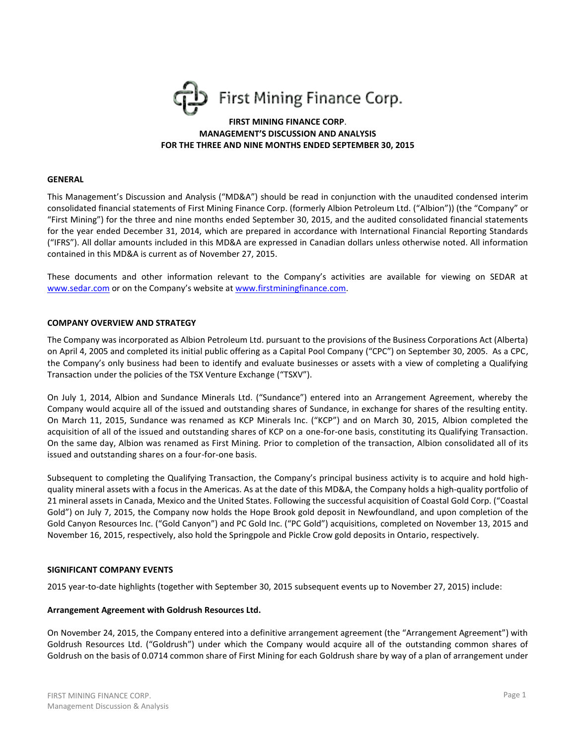

# **FIRST MINING FINANCE CORP**. **MANAGEMENT'S DISCUSSION AND ANALYSIS FOR THE THREE AND NINE MONTHS ENDED SEPTEMBER 30, 2015**

#### **GENERAL**

This Management's Discussion and Analysis ("MD&A") should be read in conjunction with the unaudited condensed interim consolidated financial statements of First Mining Finance Corp. (formerly Albion Petroleum Ltd. ("Albion")) (the "Company" or "First Mining") for the three and nine months ended September 30, 2015, and the audited consolidated financial statements for the year ended December 31, 2014, which are prepared in accordance with International Financial Reporting Standards ("IFRS"). All dollar amounts included in this MD&A are expressed in Canadian dollars unless otherwise noted. All information contained in this MD&A is current as of November 27, 2015.

These documents and other information relevant to the Company's activities are available for viewing on SEDAR at [www.sedar.com](http://www.sedar.com/) or on the Company's website at [www.firstminingfinance.com.](http://www.firstminingfinance.com/)

#### **COMPANY OVERVIEW AND STRATEGY**

The Company was incorporated as Albion Petroleum Ltd. pursuant to the provisions of the Business Corporations Act (Alberta) on April 4, 2005 and completed its initial public offering as a Capital Pool Company ("CPC") on September 30, 2005. As a CPC, the Company's only business had been to identify and evaluate businesses or assets with a view of completing a Qualifying Transaction under the policies of the TSX Venture Exchange ("TSXV").

On July 1, 2014, Albion and Sundance Minerals Ltd. ("Sundance") entered into an Arrangement Agreement, whereby the Company would acquire all of the issued and outstanding shares of Sundance, in exchange for shares of the resulting entity. On March 11, 2015, Sundance was renamed as KCP Minerals Inc. ("KCP") and on March 30, 2015, Albion completed the acquisition of all of the issued and outstanding shares of KCP on a one-for-one basis, constituting its Qualifying Transaction. On the same day, Albion was renamed as First Mining. Prior to completion of the transaction, Albion consolidated all of its issued and outstanding shares on a four-for-one basis.

Subsequent to completing the Qualifying Transaction, the Company's principal business activity is to acquire and hold highquality mineral assets with a focus in the Americas. As at the date of this MD&A, the Company holds a high-quality portfolio of 21 mineral assets in Canada, Mexico and the United States. Following the successful acquisition of Coastal Gold Corp. ("Coastal Gold") on July 7, 2015, the Company now holds the Hope Brook gold deposit in Newfoundland, and upon completion of the Gold Canyon Resources Inc. ("Gold Canyon") and PC Gold Inc. ("PC Gold") acquisitions, completed on November 13, 2015 and November 16, 2015, respectively, also hold the Springpole and Pickle Crow gold deposits in Ontario, respectively.

### **SIGNIFICANT COMPANY EVENTS**

2015 year-to-date highlights (together with September 30, 2015 subsequent events up to November 27, 2015) include:

#### **Arrangement Agreement with Goldrush Resources Ltd.**

On November 24, 2015, the Company entered into a definitive arrangement agreement (the "Arrangement Agreement") with Goldrush Resources Ltd. ("Goldrush") under which the Company would acquire all of the outstanding common shares of Goldrush on the basis of 0.0714 common share of First Mining for each Goldrush share by way of a plan of arrangement under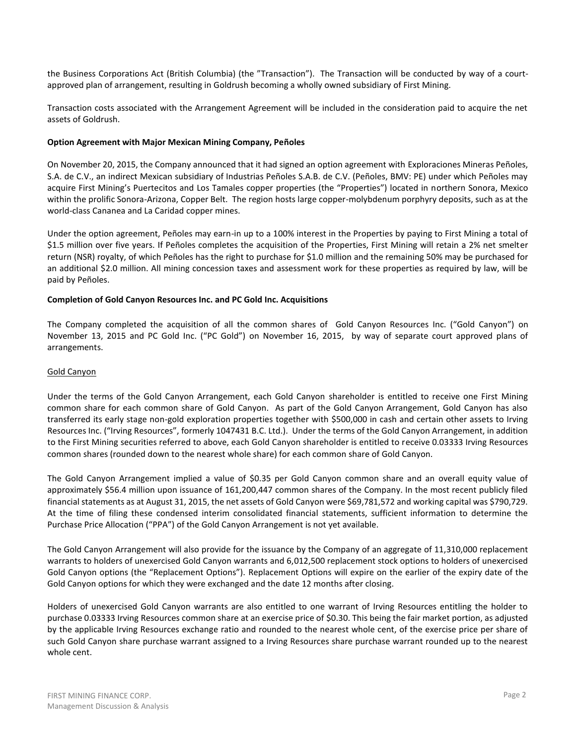the Business Corporations Act (British Columbia) (the "Transaction"). The Transaction will be conducted by way of a courtapproved plan of arrangement, resulting in Goldrush becoming a wholly owned subsidiary of First Mining.

Transaction costs associated with the Arrangement Agreement will be included in the consideration paid to acquire the net assets of Goldrush.

## **Option Agreement with Major Mexican Mining Company, Peñoles**

On November 20, 2015, the Company announced that it had signed an option agreement with Exploraciones Mineras Peñoles, S.A. de C.V., an indirect Mexican subsidiary of Industrias Peñoles S.A.B. de C.V. (Peñoles, BMV: PE) under which Peñoles may acquire First Mining's Puertecitos and Los Tamales copper properties (the "Properties") located in northern Sonora, Mexico within the prolific Sonora-Arizona, Copper Belt. The region hosts large copper-molybdenum porphyry deposits, such as at the world-class Cananea and La Caridad copper mines.

Under the option agreement, Peñoles may earn-in up to a 100% interest in the Properties by paying to First Mining a total of \$1.5 million over five years. If Peñoles completes the acquisition of the Properties, First Mining will retain a 2% net smelter return (NSR) royalty, of which Peñoles has the right to purchase for \$1.0 million and the remaining 50% may be purchased for an additional \$2.0 million. All mining concession taxes and assessment work for these properties as required by law, will be paid by Peñoles.

# **Completion of Gold Canyon Resources Inc. and PC Gold Inc. Acquisitions**

The Company completed the acquisition of all the common shares of Gold Canyon Resources Inc. ("Gold Canyon") on November 13, 2015 and PC Gold Inc. ("PC Gold") on November 16, 2015, by way of separate court approved plans of arrangements.

## Gold Canyon

Under the terms of the Gold Canyon Arrangement, each Gold Canyon shareholder is entitled to receive one First Mining common share for each common share of Gold Canyon. As part of the Gold Canyon Arrangement, Gold Canyon has also transferred its early stage non‐gold exploration properties together with \$500,000 in cash and certain other assets to Irving Resources Inc. ("Irving Resources", formerly 1047431 B.C. Ltd.). Under the terms of the Gold Canyon Arrangement, in addition to the First Mining securities referred to above, each Gold Canyon shareholder is entitled to receive 0.03333 Irving Resources common shares (rounded down to the nearest whole share) for each common share of Gold Canyon.

The Gold Canyon Arrangement implied a value of \$0.35 per Gold Canyon common share and an overall equity value of approximately \$56.4 million upon issuance of 161,200,447 common shares of the Company. In the most recent publicly filed financial statements as at August 31, 2015, the net assets of Gold Canyon were \$69,781,572 and working capital was \$790,729. At the time of filing these condensed interim consolidated financial statements, sufficient information to determine the Purchase Price Allocation ("PPA") of the Gold Canyon Arrangement is not yet available.

The Gold Canyon Arrangement will also provide for the issuance by the Company of an aggregate of 11,310,000 replacement warrants to holders of unexercised Gold Canyon warrants and 6,012,500 replacement stock options to holders of unexercised Gold Canyon options (the "Replacement Options"). Replacement Options will expire on the earlier of the expiry date of the Gold Canyon options for which they were exchanged and the date 12 months after closing.

Holders of unexercised Gold Canyon warrants are also entitled to one warrant of Irving Resources entitling the holder to purchase 0.03333 Irving Resources common share at an exercise price of \$0.30. This being the fair market portion, as adjusted by the applicable Irving Resources exchange ratio and rounded to the nearest whole cent, of the exercise price per share of such Gold Canyon share purchase warrant assigned to a Irving Resources share purchase warrant rounded up to the nearest whole cent.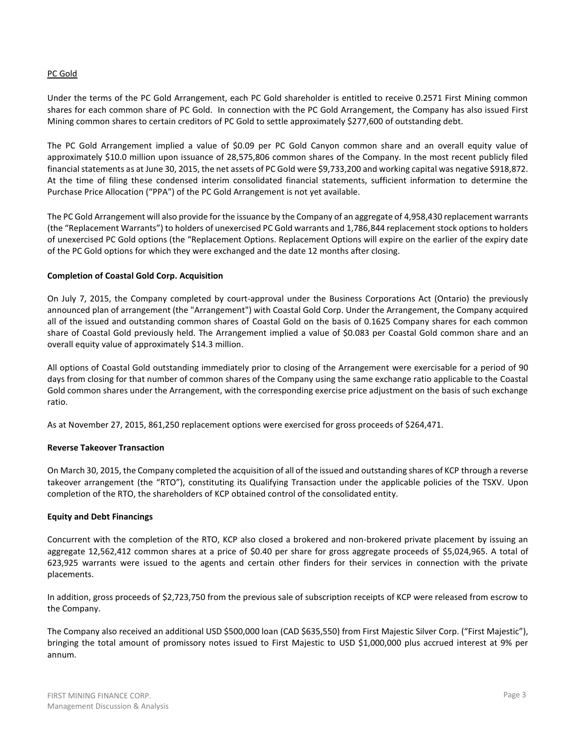## PC Gold

Under the terms of the PC Gold Arrangement, each PC Gold shareholder is entitled to receive 0.2571 First Mining common shares for each common share of PC Gold. In connection with the PC Gold Arrangement, the Company has also issued First Mining common shares to certain creditors of PC Gold to settle approximately \$277,600 of outstanding debt.

The PC Gold Arrangement implied a value of \$0.09 per PC Gold Canyon common share and an overall equity value of approximately \$10.0 million upon issuance of 28,575,806 common shares of the Company. In the most recent publicly filed financial statements as at June 30, 2015, the net assets of PC Gold were \$9,733,200 and working capital was negative \$918,872. At the time of filing these condensed interim consolidated financial statements, sufficient information to determine the Purchase Price Allocation ("PPA") of the PC Gold Arrangement is not yet available.

The PC Gold Arrangement will also provide for the issuance by the Company of an aggregate of 4,958,430 replacement warrants (the "Replacement Warrants") to holders of unexercised PC Gold warrants and 1,786,844 replacement stock options to holders of unexercised PC Gold options (the "Replacement Options. Replacement Options will expire on the earlier of the expiry date of the PC Gold options for which they were exchanged and the date 12 months after closing.

### **Completion of Coastal Gold Corp. Acquisition**

On July 7, 2015, the Company completed by court-approval under the Business Corporations Act (Ontario) the previously announced plan of arrangement (the "Arrangement") with Coastal Gold Corp. Under the Arrangement, the Company acquired all of the issued and outstanding common shares of Coastal Gold on the basis of 0.1625 Company shares for each common share of Coastal Gold previously held. The Arrangement implied a value of \$0.083 per Coastal Gold common share and an overall equity value of approximately \$14.3 million.

All options of Coastal Gold outstanding immediately prior to closing of the Arrangement were exercisable for a period of 90 days from closing for that number of common shares of the Company using the same exchange ratio applicable to the Coastal Gold common shares under the Arrangement, with the corresponding exercise price adjustment on the basis of such exchange ratio.

As at November 27, 2015, 861,250 replacement options were exercised for gross proceeds of \$264,471.

## **Reverse Takeover Transaction**

On March 30, 2015, the Company completed the acquisition of all of the issued and outstanding shares of KCP through a reverse takeover arrangement (the "RTO"), constituting its Qualifying Transaction under the applicable policies of the TSXV. Upon completion of the RTO, the shareholders of KCP obtained control of the consolidated entity.

## **Equity and Debt Financings**

Concurrent with the completion of the RTO, KCP also closed a brokered and non-brokered private placement by issuing an aggregate 12,562,412 common shares at a price of \$0.40 per share for gross aggregate proceeds of \$5,024,965. A total of 623,925 warrants were issued to the agents and certain other finders for their services in connection with the private placements.

In addition, gross proceeds of \$2,723,750 from the previous sale of subscription receipts of KCP were released from escrow to the Company.

The Company also received an additional USD \$500,000 loan (CAD \$635,550) from First Majestic Silver Corp. ("First Majestic"), bringing the total amount of promissory notes issued to First Majestic to USD \$1,000,000 plus accrued interest at 9% per annum.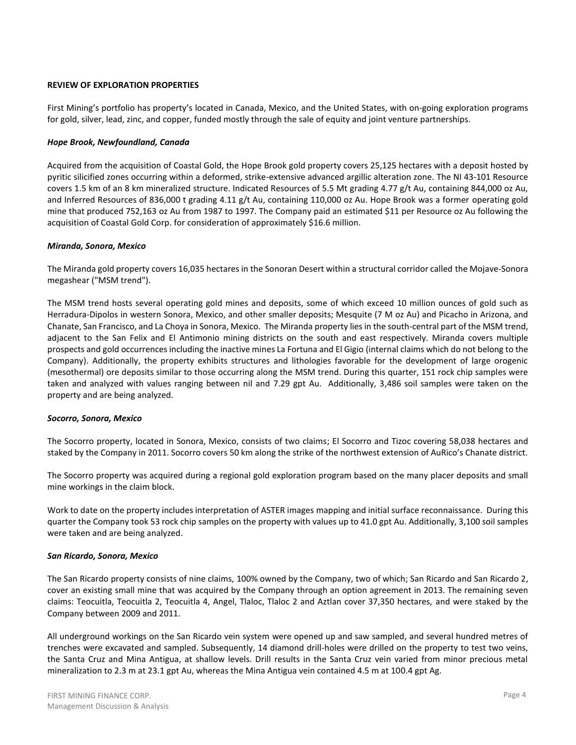## **REVIEW OF EXPLORATION PROPERTIES**

First Mining's portfolio has property's located in Canada, Mexico, and the United States, with on‐going exploration programs for gold, silver, lead, zinc, and copper, funded mostly through the sale of equity and joint venture partnerships.

## *Hope Brook, Newfoundland, Canada*

Acquired from the acquisition of Coastal Gold, the Hope Brook gold property covers 25,125 hectares with a deposit hosted by pyritic silicified zones occurring within a deformed, strike-extensive advanced argillic alteration zone. The NI 43-101 Resource covers 1.5 km of an 8 km mineralized structure. Indicated Resources of 5.5 Mt grading 4.77 g/t Au, containing 844,000 oz Au, and Inferred Resources of 836,000 t grading 4.11 g/t Au, containing 110,000 oz Au. Hope Brook was a former operating gold mine that produced 752,163 oz Au from 1987 to 1997. The Company paid an estimated \$11 per Resource oz Au following the acquisition of Coastal Gold Corp. for consideration of approximately \$16.6 million.

### *Miranda, Sonora, Mexico*

The Miranda gold property covers 16,035 hectares in the Sonoran Desert within a structural corridor called the Mojave-Sonora megashear ("MSM trend").

The MSM trend hosts several operating gold mines and deposits, some of which exceed 10 million ounces of gold such as Herradura-Dipolos in western Sonora, Mexico, and other smaller deposits; Mesquite (7 M oz Au) and Picacho in Arizona, and Chanate, San Francisco, and La Choya in Sonora, Mexico. The Miranda property lies in the south-central part of the MSM trend, adjacent to the San Felix and El Antimonio mining districts on the south and east respectively. Miranda covers multiple prospects and gold occurrences including the inactive mines La Fortuna and El Gigio (internal claims which do not belong to the Company). Additionally, the property exhibits structures and lithologies favorable for the development of large orogenic (mesothermal) ore deposits similar to those occurring along the MSM trend. During this quarter, 151 rock chip samples were taken and analyzed with values ranging between nil and 7.29 gpt Au. Additionally, 3,486 soil samples were taken on the property and are being analyzed.

#### *Socorro, Sonora, Mexico*

The Socorro property, located in Sonora, Mexico, consists of two claims; El Socorro and Tizoc covering 58,038 hectares and staked by the Company in 2011. Socorro covers 50 km along the strike of the northwest extension of AuRico's Chanate district.

The Socorro property was acquired during a regional gold exploration program based on the many placer deposits and small mine workings in the claim block.

Work to date on the property includes interpretation of ASTER images mapping and initial surface reconnaissance. During this quarter the Company took 53 rock chip samples on the property with values up to 41.0 gpt Au. Additionally, 3,100 soil samples were taken and are being analyzed.

#### *San Ricardo, Sonora, Mexico*

The San Ricardo property consists of nine claims, 100% owned by the Company, two of which; San Ricardo and San Ricardo 2, cover an existing small mine that was acquired by the Company through an option agreement in 2013. The remaining seven claims: Teocuitla, Teocuitla 2, Teocuitla 4, Angel, Tlaloc, Tlaloc 2 and Aztlan cover 37,350 hectares, and were staked by the Company between 2009 and 2011.

All underground workings on the San Ricardo vein system were opened up and saw sampled, and several hundred metres of trenches were excavated and sampled. Subsequently, 14 diamond drill-holes were drilled on the property to test two veins, the Santa Cruz and Mina Antigua, at shallow levels. Drill results in the Santa Cruz vein varied from minor precious metal mineralization to 2.3 m at 23.1 gpt Au, whereas the Mina Antigua vein contained 4.5 m at 100.4 gpt Ag.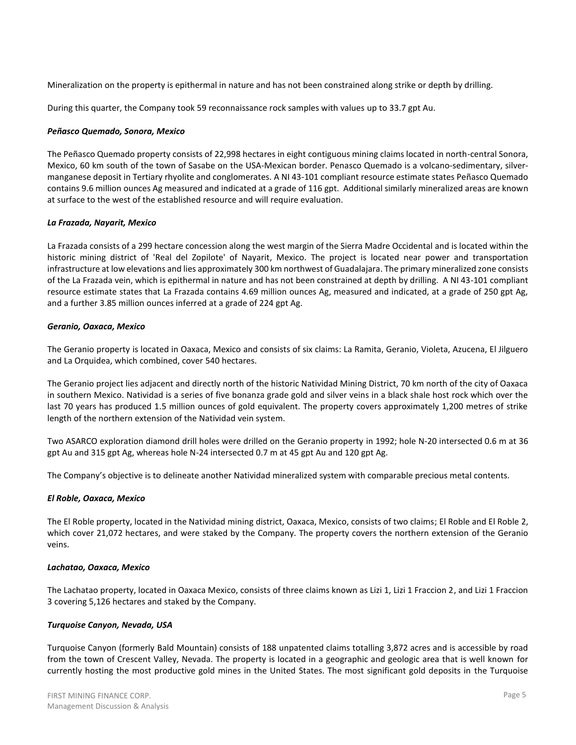Mineralization on the property is epithermal in nature and has not been constrained along strike or depth by drilling.

During this quarter, the Company took 59 reconnaissance rock samples with values up to 33.7 gpt Au.

### *Peñasco Quemado, Sonora, Mexico*

The Peñasco Quemado property consists of 22,998 hectares in eight contiguous mining claims located in north-central Sonora, Mexico, 60 km south of the town of Sasabe on the USA-Mexican border. Penasco Quemado is a volcano-sedimentary, silvermanganese deposit in Tertiary rhyolite and conglomerates. A NI 43-101 compliant resource estimate states Peñasco Quemado contains 9.6 million ounces Ag measured and indicated at a grade of 116 gpt. Additional similarly mineralized areas are known at surface to the west of the established resource and will require evaluation.

### *La Frazada, Nayarit, Mexico*

La Frazada consists of a 299 hectare concession along the west margin of the Sierra Madre Occidental and is located within the historic mining district of 'Real del Zopilote' of Nayarit, Mexico. The project is located near power and transportation infrastructure at low elevations and lies approximately 300 km northwest of Guadalajara. The primary mineralized zone consists of the La Frazada vein, which is epithermal in nature and has not been constrained at depth by drilling. A NI 43-101 compliant resource estimate states that La Frazada contains 4.69 million ounces Ag, measured and indicated, at a grade of 250 gpt Ag, and a further 3.85 million ounces inferred at a grade of 224 gpt Ag.

### *Geranio, Oaxaca, Mexico*

The Geranio property is located in Oaxaca, Mexico and consists of six claims: La Ramita, Geranio, Violeta, Azucena, El Jilguero and La Orquidea, which combined, cover 540 hectares.

The Geranio project lies adjacent and directly north of the historic Natividad Mining District, 70 km north of the city of Oaxaca in southern Mexico. Natividad is a series of five bonanza grade gold and silver veins in a black shale host rock which over the last 70 years has produced 1.5 million ounces of gold equivalent. The property covers approximately 1,200 metres of strike length of the northern extension of the Natividad vein system.

Two ASARCO exploration diamond drill holes were drilled on the Geranio property in 1992; hole N-20 intersected 0.6 m at 36 gpt Au and 315 gpt Ag, whereas hole N-24 intersected 0.7 m at 45 gpt Au and 120 gpt Ag.

The Company's objective is to delineate another Natividad mineralized system with comparable precious metal contents.

#### *El Roble, Oaxaca, Mexico*

The El Roble property, located in the Natividad mining district, Oaxaca, Mexico, consists of two claims; El Roble and El Roble 2, which cover 21,072 hectares, and were staked by the Company. The property covers the northern extension of the Geranio veins.

#### *Lachatao, Oaxaca, Mexico*

The Lachatao property, located in Oaxaca Mexico, consists of three claims known as Lizi 1, Lizi 1 Fraccion 2, and Lizi 1 Fraccion 3 covering 5,126 hectares and staked by the Company.

## *Turquoise Canyon, Nevada, USA*

Turquoise Canyon (formerly Bald Mountain) consists of 188 unpatented claims totalling 3,872 acres and is accessible by road from the town of Crescent Valley, Nevada. The property is located in a geographic and geologic area that is well known for currently hosting the most productive gold mines in the United States. The most significant gold deposits in the Turquoise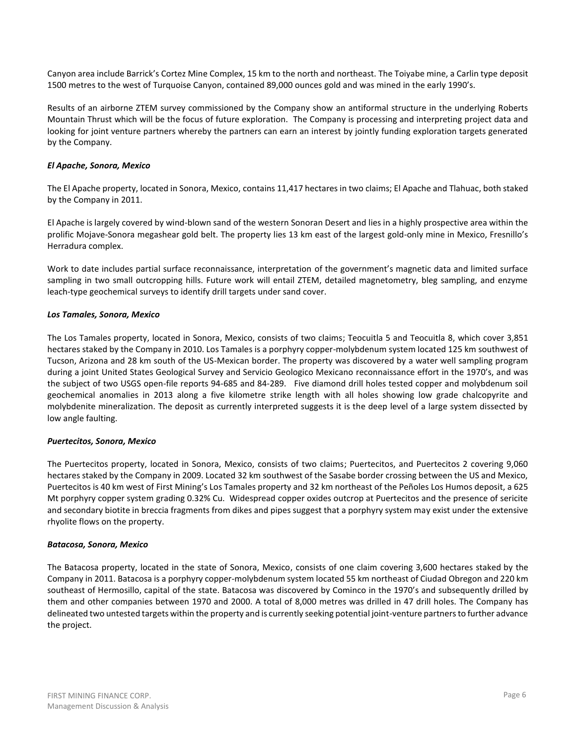Canyon area include Barrick's Cortez Mine Complex, 15 km to the north and northeast. The Toiyabe mine, a Carlin type deposit 1500 metres to the west of Turquoise Canyon, contained 89,000 ounces gold and was mined in the early 1990's.

Results of an airborne ZTEM survey commissioned by the Company show an antiformal structure in the underlying Roberts Mountain Thrust which will be the focus of future exploration. The Company is processing and interpreting project data and looking for joint venture partners whereby the partners can earn an interest by jointly funding exploration targets generated by the Company.

# *El Apache, Sonora, Mexico*

The El Apache property, located in Sonora, Mexico, contains 11,417 hectares in two claims; El Apache and Tlahuac, both staked by the Company in 2011.

El Apache is largely covered by wind-blown sand of the western Sonoran Desert and lies in a highly prospective area within the prolific Mojave-Sonora megashear gold belt. The property lies 13 km east of the largest gold-only mine in Mexico, Fresnillo's Herradura complex.

Work to date includes partial surface reconnaissance, interpretation of the government's magnetic data and limited surface sampling in two small outcropping hills. Future work will entail ZTEM, detailed magnetometry, bleg sampling, and enzyme leach-type geochemical surveys to identify drill targets under sand cover.

## *Los Tamales, Sonora, Mexico*

The Los Tamales property, located in Sonora, Mexico, consists of two claims; Teocuitla 5 and Teocuitla 8, which cover 3,851 hectares staked by the Company in 2010. Los Tamales is a porphyry copper-molybdenum system located 125 km southwest of Tucson, Arizona and 28 km south of the US-Mexican border. The property was discovered by a water well sampling program during a joint United States Geological Survey and Servicio Geologico Mexicano reconnaissance effort in the 1970's, and was the subject of two USGS open-file reports 94-685 and 84-289. Five diamond drill holes tested copper and molybdenum soil geochemical anomalies in 2013 along a five kilometre strike length with all holes showing low grade chalcopyrite and molybdenite mineralization. The deposit as currently interpreted suggests it is the deep level of a large system dissected by low angle faulting.

## *Puertecitos, Sonora, Mexico*

The Puertecitos property, located in Sonora, Mexico, consists of two claims; Puertecitos, and Puertecitos 2 covering 9,060 hectares staked by the Company in 2009. Located 32 km southwest of the Sasabe border crossing between the US and Mexico, Puertecitos is 40 km west of First Mining's Los Tamales property and 32 km northeast of the Peñoles Los Humos deposit, a 625 Mt porphyry copper system grading 0.32% Cu. Widespread copper oxides outcrop at Puertecitos and the presence of sericite and secondary biotite in breccia fragments from dikes and pipes suggest that a porphyry system may exist under the extensive rhyolite flows on the property.

#### *Batacosa, Sonora, Mexico*

The Batacosa property, located in the state of Sonora, Mexico, consists of one claim covering 3,600 hectares staked by the Company in 2011. Batacosa is a porphyry copper-molybdenum system located 55 km northeast of Ciudad Obregon and 220 km southeast of Hermosillo, capital of the state. Batacosa was discovered by Cominco in the 1970's and subsequently drilled by them and other companies between 1970 and 2000. A total of 8,000 metres was drilled in 47 drill holes. The Company has delineated two untested targets within the property and is currently seeking potential joint-venture partners to further advance the project.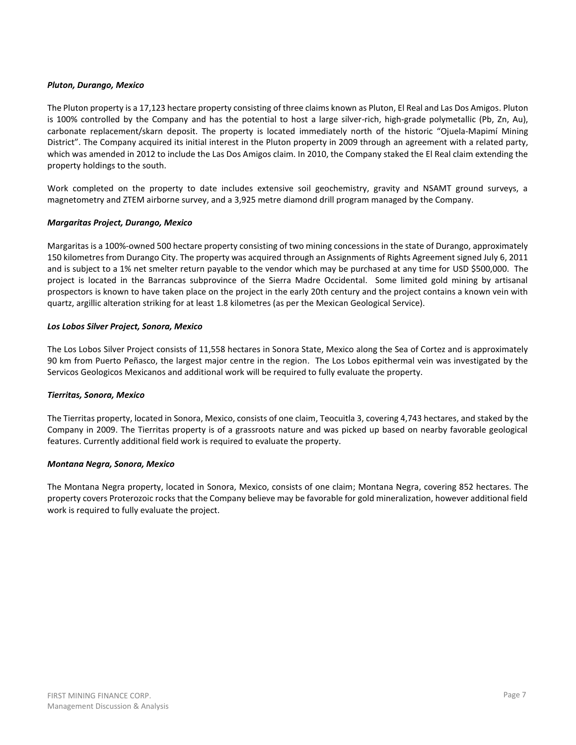## *Pluton, Durango, Mexico*

The Pluton property is a 17,123 hectare property consisting of three claims known as Pluton, El Real and Las Dos Amigos. Pluton is 100% controlled by the Company and has the potential to host a large silver-rich, high-grade polymetallic (Pb, Zn, Au), carbonate replacement/skarn deposit. The property is located immediately north of the historic "Ojuela-Mapimí Mining District". The Company acquired its initial interest in the Pluton property in 2009 through an agreement with a related party, which was amended in 2012 to include the Las Dos Amigos claim. In 2010, the Company staked the El Real claim extending the property holdings to the south.

Work completed on the property to date includes extensive soil geochemistry, gravity and NSAMT ground surveys, a magnetometry and ZTEM airborne survey, and a 3,925 metre diamond drill program managed by the Company.

### *Margaritas Project, Durango, Mexico*

Margaritas is a 100%-owned 500 hectare property consisting of two mining concessions in the state of Durango, approximately 150 kilometres from Durango City. The property was acquired through an Assignments of Rights Agreement signed July 6, 2011 and is subject to a 1% net smelter return payable to the vendor which may be purchased at any time for USD \$500,000. The project is located in the Barrancas subprovince of the Sierra Madre Occidental. Some limited gold mining by artisanal prospectors is known to have taken place on the project in the early 20th century and the project contains a known vein with quartz, argillic alteration striking for at least 1.8 kilometres (as per the Mexican Geological Service).

### *Los Lobos Silver Project, Sonora, Mexico*

The Los Lobos Silver Project consists of 11,558 hectares in Sonora State, Mexico along the Sea of Cortez and is approximately 90 km from Puerto Peñasco, the largest major centre in the region. The Los Lobos epithermal vein was investigated by the Servicos Geologicos Mexicanos and additional work will be required to fully evaluate the property.

## *Tierritas, Sonora, Mexico*

The Tierritas property, located in Sonora, Mexico, consists of one claim, Teocuitla 3, covering 4,743 hectares, and staked by the Company in 2009. The Tierritas property is of a grassroots nature and was picked up based on nearby favorable geological features. Currently additional field work is required to evaluate the property.

#### *Montana Negra, Sonora, Mexico*

The Montana Negra property, located in Sonora, Mexico, consists of one claim; Montana Negra, covering 852 hectares. The property covers Proterozoic rocks that the Company believe may be favorable for gold mineralization, however additional field work is required to fully evaluate the project.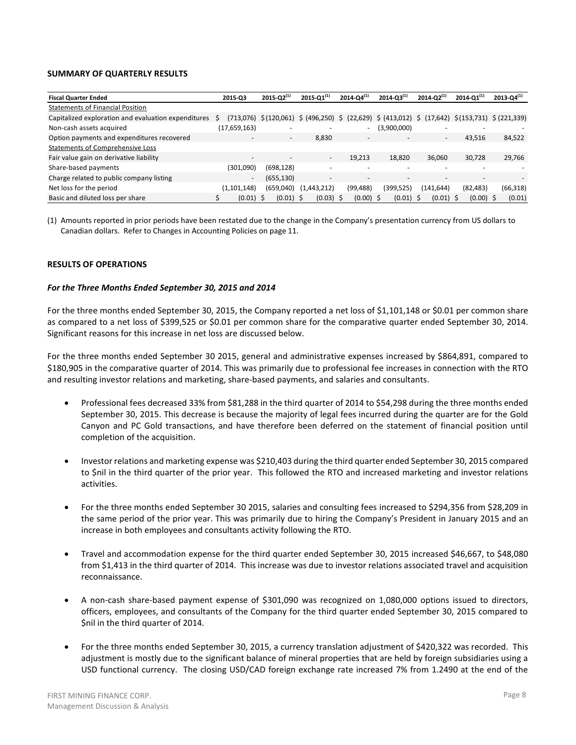### **SUMMARY OF QUARTERLY RESULTS**

| <b>Fiscal Quarter Ended</b>                         | 2015-03                  | $2015 - Q2^{(1)}$   | 2015- $Q1^{(1)}$                                                                                   | $2014 - Q4^{(1)}$ | $2014 - 03^{(1)}$        | $2014 - Q2^{(1)}$ | $2014 - 01^{(1)}$ | $2013 - Q4^{(1)}$ |
|-----------------------------------------------------|--------------------------|---------------------|----------------------------------------------------------------------------------------------------|-------------------|--------------------------|-------------------|-------------------|-------------------|
| <b>Statements of Financial Position</b>             |                          |                     |                                                                                                    |                   |                          |                   |                   |                   |
| Capitalized exploration and evaluation expenditures | S<br>(713.076)           |                     | $\frac{1}{2}(120,061)$ \$ (496,250) \$ (22,629) \$ (413,012) \$ (17,642) \$ (153,731) \$ (221,339) |                   |                          |                   |                   |                   |
| Non-cash assets acquired                            | (17,659,163)             |                     |                                                                                                    |                   | (3,900,000)              |                   |                   |                   |
| Option payments and expenditures recovered          |                          | $\sim$              | 8,830                                                                                              |                   | $\overline{\phantom{0}}$ | ۰.                | 43,516            | 84,522            |
| Statements of Comprehensive Loss                    |                          |                     |                                                                                                    |                   |                          |                   |                   |                   |
| Fair value gain on derivative liability             | -                        |                     | $\overline{\phantom{0}}$                                                                           | 19.213            | 18,820                   | 36.060            | 30,728            | 29,766            |
| Share-based payments                                | (301,090)                | (698, 128)          |                                                                                                    |                   |                          |                   |                   |                   |
| Charge related to public company listing            | $\overline{\phantom{0}}$ | (655, 130)          | -                                                                                                  |                   | $\overline{\phantom{0}}$ | -                 |                   |                   |
| Net loss for the period                             | (1.101.148)              | (659,040)           | (1,443,212)                                                                                        | (99, 488)         | (399,525)                | (141.644)         | (82, 483)         | (66, 318)         |
| Basic and diluted loss per share                    | (0.01)                   | $(0.01)$ \$<br>- \$ | $(0.03)$ \$                                                                                        | $(0.00)$ \$       | $(0.01)$ \$              | (0.01)            | $(0.00)$ \$       | (0.01)            |

(1) Amounts reported in prior periods have been restated due to the change in the Company's presentation currency from US dollars to Canadian dollars. Refer to Changes in Accounting Policies on page 11.

### **RESULTS OF OPERATIONS**

#### *For the Three Months Ended September 30, 2015 and 2014*

For the three months ended September 30, 2015, the Company reported a net loss of \$1,101,148 or \$0.01 per common share as compared to a net loss of \$399,525 or \$0.01 per common share for the comparative quarter ended September 30, 2014. Significant reasons for this increase in net loss are discussed below.

For the three months ended September 30 2015, general and administrative expenses increased by \$864,891, compared to \$180,905 in the comparative quarter of 2014. This was primarily due to professional fee increases in connection with the RTO and resulting investor relations and marketing, share-based payments, and salaries and consultants.

- Professional fees decreased 33% from \$81,288 in the third quarter of 2014 to \$54,298 during the three months ended September 30, 2015. This decrease is because the majority of legal fees incurred during the quarter are for the Gold Canyon and PC Gold transactions, and have therefore been deferred on the statement of financial position until completion of the acquisition.
- Investor relations and marketing expense was \$210,403 during the third quarter ended September 30, 2015 compared to \$nil in the third quarter of the prior year. This followed the RTO and increased marketing and investor relations activities.
- For the three months ended September 30 2015, salaries and consulting fees increased to \$294,356 from \$28,209 in the same period of the prior year. This was primarily due to hiring the Company's President in January 2015 and an increase in both employees and consultants activity following the RTO.
- Travel and accommodation expense for the third quarter ended September 30, 2015 increased \$46,667, to \$48,080 from \$1,413 in the third quarter of 2014. This increase was due to investor relations associated travel and acquisition reconnaissance.
- A non-cash share-based payment expense of \$301,090 was recognized on 1,080,000 options issued to directors, officers, employees, and consultants of the Company for the third quarter ended September 30, 2015 compared to \$nil in the third quarter of 2014.
- For the three months ended September 30, 2015, a currency translation adjustment of \$420,322 was recorded. This adjustment is mostly due to the significant balance of mineral properties that are held by foreign subsidiaries using a USD functional currency. The closing USD/CAD foreign exchange rate increased 7% from 1.2490 at the end of the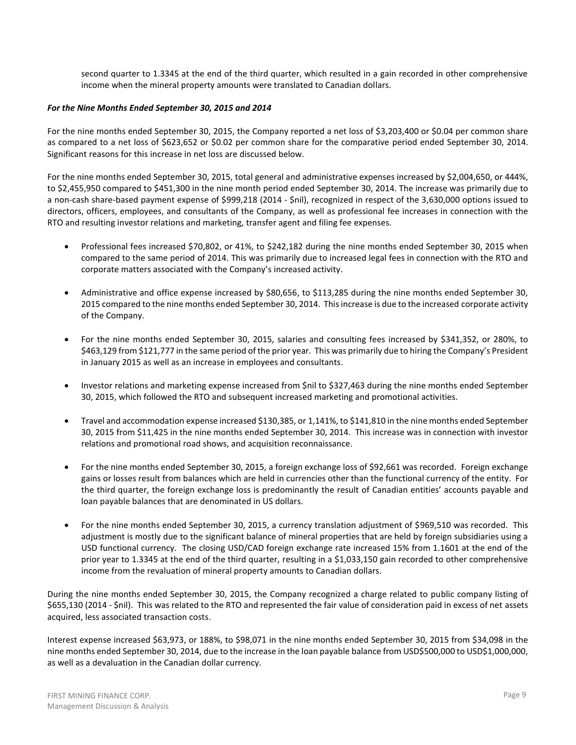second quarter to 1.3345 at the end of the third quarter, which resulted in a gain recorded in other comprehensive income when the mineral property amounts were translated to Canadian dollars.

## *For the Nine Months Ended September 30, 2015 and 2014*

For the nine months ended September 30, 2015, the Company reported a net loss of \$3,203,400 or \$0.04 per common share as compared to a net loss of \$623,652 or \$0.02 per common share for the comparative period ended September 30, 2014. Significant reasons for this increase in net loss are discussed below.

For the nine months ended September 30, 2015, total general and administrative expenses increased by \$2,004,650, or 444%, to \$2,455,950 compared to \$451,300 in the nine month period ended September 30, 2014. The increase was primarily due to a non-cash share-based payment expense of \$999,218 (2014 - \$nil), recognized in respect of the 3,630,000 options issued to directors, officers, employees, and consultants of the Company, as well as professional fee increases in connection with the RTO and resulting investor relations and marketing, transfer agent and filing fee expenses.

- Professional fees increased \$70,802, or 41%, to \$242,182 during the nine months ended September 30, 2015 when compared to the same period of 2014. This was primarily due to increased legal fees in connection with the RTO and corporate matters associated with the Company's increased activity.
- Administrative and office expense increased by \$80,656, to \$113,285 during the nine months ended September 30, 2015 compared to the nine months ended September 30, 2014. This increase is due to the increased corporate activity of the Company.
- For the nine months ended September 30, 2015, salaries and consulting fees increased by \$341,352, or 280%, to \$463,129 from \$121,777 in the same period of the prior year. This was primarily due to hiring the Company's President in January 2015 as well as an increase in employees and consultants.
- Investor relations and marketing expense increased from \$nil to \$327,463 during the nine months ended September 30, 2015, which followed the RTO and subsequent increased marketing and promotional activities.
- Travel and accommodation expense increased \$130,385, or 1,141%, to \$141,810 in the nine months ended September 30, 2015 from \$11,425 in the nine months ended September 30, 2014. This increase was in connection with investor relations and promotional road shows, and acquisition reconnaissance.
- For the nine months ended September 30, 2015, a foreign exchange loss of \$92,661 was recorded. Foreign exchange gains or losses result from balances which are held in currencies other than the functional currency of the entity. For the third quarter, the foreign exchange loss is predominantly the result of Canadian entities' accounts payable and loan payable balances that are denominated in US dollars.
- For the nine months ended September 30, 2015, a currency translation adjustment of \$969,510 was recorded. This adjustment is mostly due to the significant balance of mineral properties that are held by foreign subsidiaries using a USD functional currency. The closing USD/CAD foreign exchange rate increased 15% from 1.1601 at the end of the prior year to 1.3345 at the end of the third quarter, resulting in a \$1,033,150 gain recorded to other comprehensive income from the revaluation of mineral property amounts to Canadian dollars.

During the nine months ended September 30, 2015, the Company recognized a charge related to public company listing of \$655,130 (2014 - \$nil). This was related to the RTO and represented the fair value of consideration paid in excess of net assets acquired, less associated transaction costs.

Interest expense increased \$63,973, or 188%, to \$98,071 in the nine months ended September 30, 2015 from \$34,098 in the nine months ended September 30, 2014, due to the increase in the loan payable balance from USD\$500,000 to USD\$1,000,000, as well as a devaluation in the Canadian dollar currency.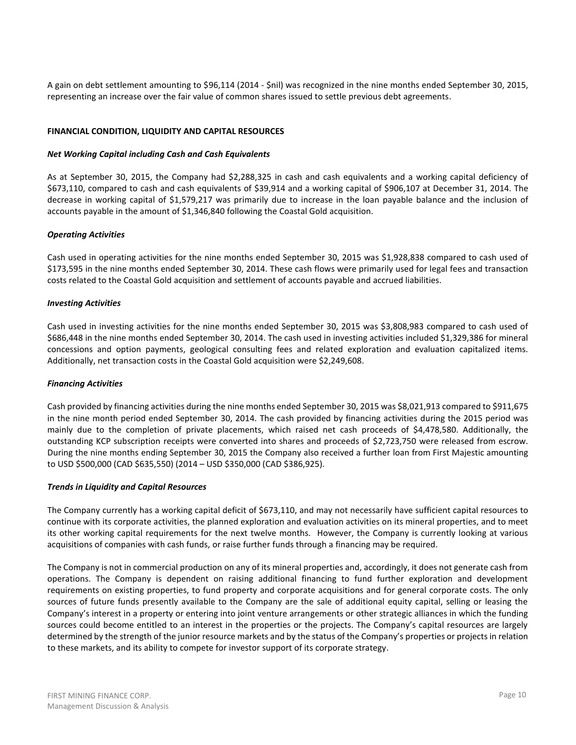A gain on debt settlement amounting to \$96,114 (2014 - \$nil) was recognized in the nine months ended September 30, 2015, representing an increase over the fair value of common shares issued to settle previous debt agreements.

## **FINANCIAL CONDITION, LIQUIDITY AND CAPITAL RESOURCES**

## *Net Working Capital including Cash and Cash Equivalents*

As at September 30, 2015, the Company had \$2,288,325 in cash and cash equivalents and a working capital deficiency of \$673,110, compared to cash and cash equivalents of \$39,914 and a working capital of \$906,107 at December 31, 2014. The decrease in working capital of \$1,579,217 was primarily due to increase in the loan payable balance and the inclusion of accounts payable in the amount of \$1,346,840 following the Coastal Gold acquisition.

### *Operating Activities*

Cash used in operating activities for the nine months ended September 30, 2015 was \$1,928,838 compared to cash used of \$173,595 in the nine months ended September 30, 2014. These cash flows were primarily used for legal fees and transaction costs related to the Coastal Gold acquisition and settlement of accounts payable and accrued liabilities.

### *Investing Activities*

Cash used in investing activities for the nine months ended September 30, 2015 was \$3,808,983 compared to cash used of \$686,448 in the nine months ended September 30, 2014. The cash used in investing activities included \$1,329,386 for mineral concessions and option payments, geological consulting fees and related exploration and evaluation capitalized items. Additionally, net transaction costs in the Coastal Gold acquisition were \$2,249,608.

#### *Financing Activities*

Cash provided by financing activities during the nine months ended September 30, 2015 was \$8,021,913 compared to \$911,675 in the nine month period ended September 30, 2014. The cash provided by financing activities during the 2015 period was mainly due to the completion of private placements, which raised net cash proceeds of \$4,478,580. Additionally, the outstanding KCP subscription receipts were converted into shares and proceeds of \$2,723,750 were released from escrow. During the nine months ending September 30, 2015 the Company also received a further loan from First Majestic amounting to USD \$500,000 (CAD \$635,550) (2014 – USD \$350,000 (CAD \$386,925).

#### *Trends in Liquidity and Capital Resources*

The Company currently has a working capital deficit of \$673,110, and may not necessarily have sufficient capital resources to continue with its corporate activities, the planned exploration and evaluation activities on its mineral properties, and to meet its other working capital requirements for the next twelve months. However, the Company is currently looking at various acquisitions of companies with cash funds, or raise further funds through a financing may be required.

The Company is not in commercial production on any of its mineral properties and, accordingly, it does not generate cash from operations. The Company is dependent on raising additional financing to fund further exploration and development requirements on existing properties, to fund property and corporate acquisitions and for general corporate costs. The only sources of future funds presently available to the Company are the sale of additional equity capital, selling or leasing the Company's interest in a property or entering into joint venture arrangements or other strategic alliances in which the funding sources could become entitled to an interest in the properties or the projects. The Company's capital resources are largely determined by the strength of the junior resource markets and by the status of the Company's properties or projects in relation to these markets, and its ability to compete for investor support of its corporate strategy.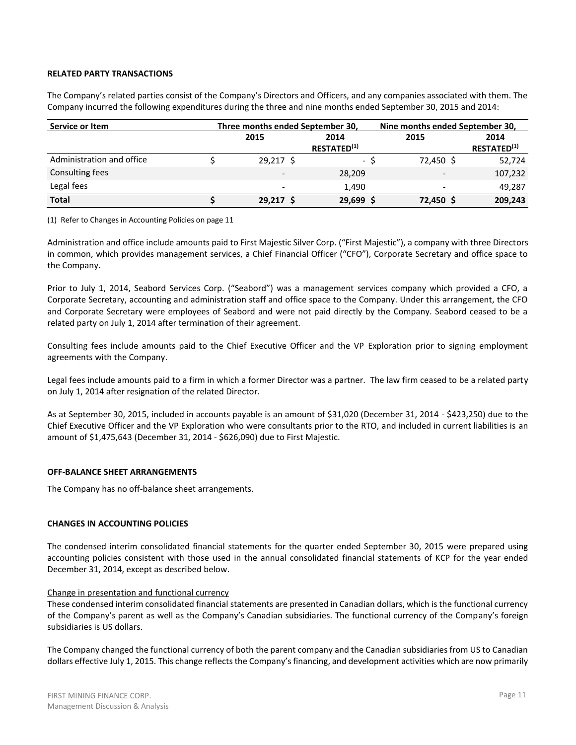## **RELATED PARTY TRANSACTIONS**

The Company's related parties consist of the Company's Directors and Officers, and any companies associated with them. The Company incurred the following expenditures during the three and nine months ended September 30, 2015 and 2014:

| Service or Item           | Three months ended September 30, |                         | Nine months ended September 30, |                    |  |  |
|---------------------------|----------------------------------|-------------------------|---------------------------------|--------------------|--|--|
|                           | 2015                             | 2014                    | 2015                            | 2014               |  |  |
|                           |                                  | RESTATED <sup>(1)</sup> |                                 | <b>RESTATED(1)</b> |  |  |
| Administration and office | $29,217$ \$                      | - S                     | 72,450 \$                       | 52,724             |  |  |
| Consulting fees           | $\overline{\phantom{0}}$         | 28,209                  | -                               | 107,232            |  |  |
| Legal fees                | $\overline{\phantom{a}}$         | 1.490                   |                                 | 49,287             |  |  |
| <b>Total</b>              | 29.217 S                         | 29,699 \$               | 72,450                          | 209,243            |  |  |

(1) Refer to Changes in Accounting Policies on page 11

Administration and office include amounts paid to First Majestic Silver Corp. ("First Majestic"), a company with three Directors in common, which provides management services, a Chief Financial Officer ("CFO"), Corporate Secretary and office space to the Company.

Prior to July 1, 2014, Seabord Services Corp. ("Seabord") was a management services company which provided a CFO, a Corporate Secretary, accounting and administration staff and office space to the Company. Under this arrangement, the CFO and Corporate Secretary were employees of Seabord and were not paid directly by the Company. Seabord ceased to be a related party on July 1, 2014 after termination of their agreement.

Consulting fees include amounts paid to the Chief Executive Officer and the VP Exploration prior to signing employment agreements with the Company.

Legal fees include amounts paid to a firm in which a former Director was a partner. The law firm ceased to be a related party on July 1, 2014 after resignation of the related Director.

As at September 30, 2015, included in accounts payable is an amount of \$31,020 (December 31, 2014 - \$423,250) due to the Chief Executive Officer and the VP Exploration who were consultants prior to the RTO, and included in current liabilities is an amount of \$1,475,643 (December 31, 2014 - \$626,090) due to First Majestic.

#### **OFF-BALANCE SHEET ARRANGEMENTS**

The Company has no off-balance sheet arrangements.

### **CHANGES IN ACCOUNTING POLICIES**

The condensed interim consolidated financial statements for the quarter ended September 30, 2015 were prepared using accounting policies consistent with those used in the annual consolidated financial statements of KCP for the year ended December 31, 2014, except as described below.

#### Change in presentation and functional currency

These condensed interim consolidated financial statements are presented in Canadian dollars, which is the functional currency of the Company's parent as well as the Company's Canadian subsidiaries. The functional currency of the Company's foreign subsidiaries is US dollars.

The Company changed the functional currency of both the parent company and the Canadian subsidiaries from US to Canadian dollars effective July 1, 2015. This change reflects the Company's financing, and development activities which are now primarily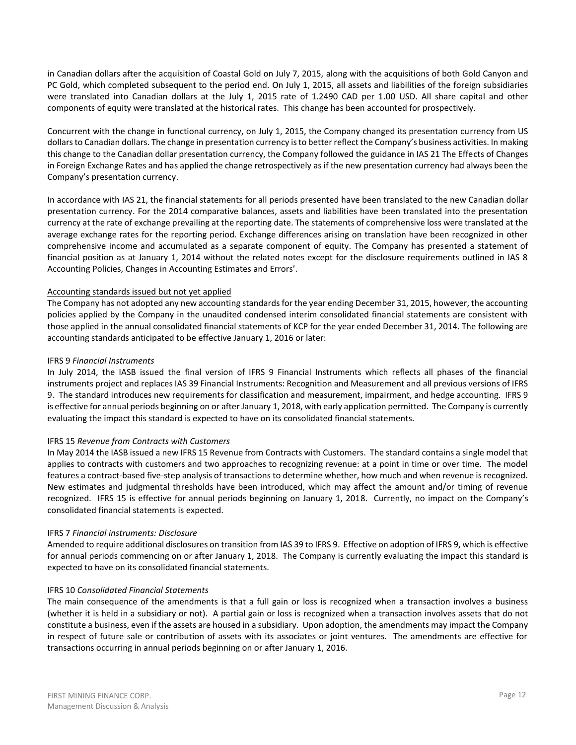in Canadian dollars after the acquisition of Coastal Gold on July 7, 2015, along with the acquisitions of both Gold Canyon and PC Gold, which completed subsequent to the period end. On July 1, 2015, all assets and liabilities of the foreign subsidiaries were translated into Canadian dollars at the July 1, 2015 rate of 1.2490 CAD per 1.00 USD. All share capital and other components of equity were translated at the historical rates. This change has been accounted for prospectively.

Concurrent with the change in functional currency, on July 1, 2015, the Company changed its presentation currency from US dollars to Canadian dollars. The change in presentation currency is to better reflect the Company's business activities. In making this change to the Canadian dollar presentation currency, the Company followed the guidance in IAS 21 The Effects of Changes in Foreign Exchange Rates and has applied the change retrospectively as if the new presentation currency had always been the Company's presentation currency.

In accordance with IAS 21, the financial statements for all periods presented have been translated to the new Canadian dollar presentation currency. For the 2014 comparative balances, assets and liabilities have been translated into the presentation currency at the rate of exchange prevailing at the reporting date. The statements of comprehensive loss were translated at the average exchange rates for the reporting period. Exchange differences arising on translation have been recognized in other comprehensive income and accumulated as a separate component of equity. The Company has presented a statement of financial position as at January 1, 2014 without the related notes except for the disclosure requirements outlined in IAS 8 Accounting Policies, Changes in Accounting Estimates and Errors'.

## Accounting standards issued but not yet applied

The Company has not adopted any new accounting standards for the year ending December 31, 2015, however, the accounting policies applied by the Company in the unaudited condensed interim consolidated financial statements are consistent with those applied in the annual consolidated financial statements of KCP for the year ended December 31, 2014. The following are accounting standards anticipated to be effective January 1, 2016 or later:

## IFRS 9 *Financial Instruments*

In July 2014, the IASB issued the final version of IFRS 9 Financial Instruments which reflects all phases of the financial instruments project and replaces IAS 39 Financial Instruments: Recognition and Measurement and all previous versions of IFRS 9. The standard introduces new requirements for classification and measurement, impairment, and hedge accounting. IFRS 9 is effective for annual periods beginning on or after January 1, 2018, with early application permitted. The Company is currently evaluating the impact this standard is expected to have on its consolidated financial statements.

## IFRS 15 *Revenue from Contracts with Customers*

In May 2014 the IASB issued a new IFRS 15 Revenue from Contracts with Customers. The standard contains a single model that applies to contracts with customers and two approaches to recognizing revenue: at a point in time or over time. The model features a contract-based five-step analysis of transactions to determine whether, how much and when revenue is recognized. New estimates and judgmental thresholds have been introduced, which may affect the amount and/or timing of revenue recognized. IFRS 15 is effective for annual periods beginning on January 1, 2018. Currently, no impact on the Company's consolidated financial statements is expected.

#### IFRS 7 *Financial instruments: Disclosure*

Amended to require additional disclosures on transition from IAS 39 to IFRS 9. Effective on adoption of IFRS 9, which is effective for annual periods commencing on or after January 1, 2018. The Company is currently evaluating the impact this standard is expected to have on its consolidated financial statements.

## IFRS 10 *Consolidated Financial Statements*

The main consequence of the amendments is that a full gain or loss is recognized when a transaction involves a business (whether it is held in a subsidiary or not). A partial gain or loss is recognized when a transaction involves assets that do not constitute a business, even if the assets are housed in a subsidiary. Upon adoption, the amendments may impact the Company in respect of future sale or contribution of assets with its associates or joint ventures. The amendments are effective for transactions occurring in annual periods beginning on or after January 1, 2016.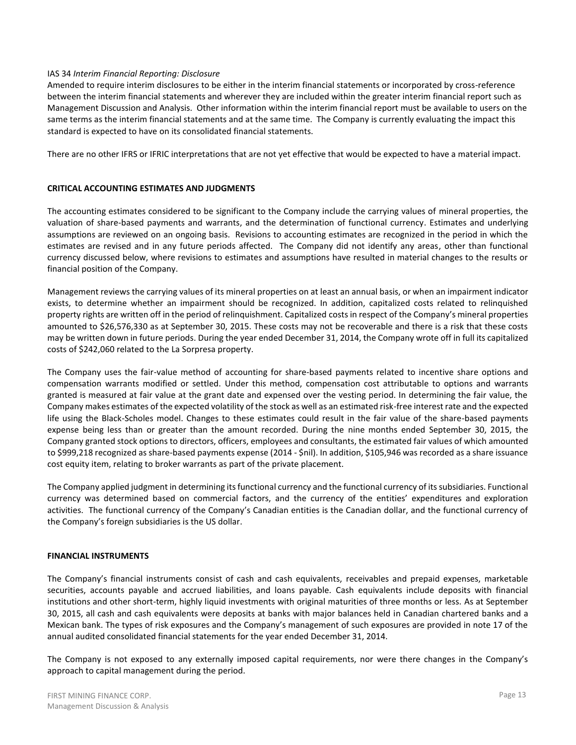### IAS 34 *Interim Financial Reporting: Disclosure*

Amended to require interim disclosures to be either in the interim financial statements or incorporated by cross-reference between the interim financial statements and wherever they are included within the greater interim financial report such as Management Discussion and Analysis. Other information within the interim financial report must be available to users on the same terms as the interim financial statements and at the same time. The Company is currently evaluating the impact this standard is expected to have on its consolidated financial statements.

There are no other IFRS or IFRIC interpretations that are not yet effective that would be expected to have a material impact.

### **CRITICAL ACCOUNTING ESTIMATES AND JUDGMENTS**

The accounting estimates considered to be significant to the Company include the carrying values of mineral properties, the valuation of share-based payments and warrants, and the determination of functional currency. Estimates and underlying assumptions are reviewed on an ongoing basis. Revisions to accounting estimates are recognized in the period in which the estimates are revised and in any future periods affected. The Company did not identify any areas, other than functional currency discussed below, where revisions to estimates and assumptions have resulted in material changes to the results or financial position of the Company.

Management reviews the carrying values of its mineral properties on at least an annual basis, or when an impairment indicator exists, to determine whether an impairment should be recognized. In addition, capitalized costs related to relinquished property rights are written off in the period of relinquishment. Capitalized costs in respect of the Company's mineral properties amounted to \$26,576,330 as at September 30, 2015. These costs may not be recoverable and there is a risk that these costs may be written down in future periods. During the year ended December 31, 2014, the Company wrote off in full its capitalized costs of \$242,060 related to the La Sorpresa property.

The Company uses the fair-value method of accounting for share-based payments related to incentive share options and compensation warrants modified or settled. Under this method, compensation cost attributable to options and warrants granted is measured at fair value at the grant date and expensed over the vesting period. In determining the fair value, the Company makes estimates of the expected volatility of the stock as well as an estimated risk-free interest rate and the expected life using the Black-Scholes model. Changes to these estimates could result in the fair value of the share-based payments expense being less than or greater than the amount recorded. During the nine months ended September 30, 2015, the Company granted stock options to directors, officers, employees and consultants, the estimated fair values of which amounted to \$999,218 recognized as share-based payments expense (2014 - \$nil). In addition, \$105,946 was recorded as a share issuance cost equity item, relating to broker warrants as part of the private placement.

The Company applied judgment in determining its functional currency and the functional currency of its subsidiaries. Functional currency was determined based on commercial factors, and the currency of the entities' expenditures and exploration activities. The functional currency of the Company's Canadian entities is the Canadian dollar, and the functional currency of the Company's foreign subsidiaries is the US dollar.

#### **FINANCIAL INSTRUMENTS**

The Company's financial instruments consist of cash and cash equivalents, receivables and prepaid expenses, marketable securities, accounts payable and accrued liabilities, and loans payable. Cash equivalents include deposits with financial institutions and other short-term, highly liquid investments with original maturities of three months or less. As at September 30, 2015, all cash and cash equivalents were deposits at banks with major balances held in Canadian chartered banks and a Mexican bank. The types of risk exposures and the Company's management of such exposures are provided in note 17 of the annual audited consolidated financial statements for the year ended December 31, 2014.

The Company is not exposed to any externally imposed capital requirements, nor were there changes in the Company's approach to capital management during the period.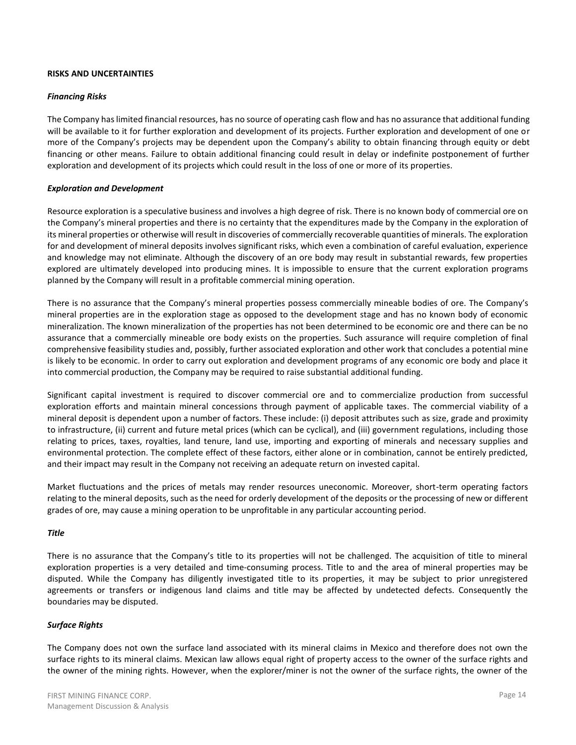### **RISKS AND UNCERTAINTIES**

### *Financing Risks*

The Company has limited financial resources, has no source of operating cash flow and has no assurance that additional funding will be available to it for further exploration and development of its projects. Further exploration and development of one or more of the Company's projects may be dependent upon the Company's ability to obtain financing through equity or debt financing or other means. Failure to obtain additional financing could result in delay or indefinite postponement of further exploration and development of its projects which could result in the loss of one or more of its properties.

### *Exploration and Development*

Resource exploration is a speculative business and involves a high degree of risk. There is no known body of commercial ore on the Company's mineral properties and there is no certainty that the expenditures made by the Company in the exploration of its mineral properties or otherwise will result in discoveries of commercially recoverable quantities of minerals. The exploration for and development of mineral deposits involves significant risks, which even a combination of careful evaluation, experience and knowledge may not eliminate. Although the discovery of an ore body may result in substantial rewards, few properties explored are ultimately developed into producing mines. It is impossible to ensure that the current exploration programs planned by the Company will result in a profitable commercial mining operation.

There is no assurance that the Company's mineral properties possess commercially mineable bodies of ore. The Company's mineral properties are in the exploration stage as opposed to the development stage and has no known body of economic mineralization. The known mineralization of the properties has not been determined to be economic ore and there can be no assurance that a commercially mineable ore body exists on the properties. Such assurance will require completion of final comprehensive feasibility studies and, possibly, further associated exploration and other work that concludes a potential mine is likely to be economic. In order to carry out exploration and development programs of any economic ore body and place it into commercial production, the Company may be required to raise substantial additional funding.

Significant capital investment is required to discover commercial ore and to commercialize production from successful exploration efforts and maintain mineral concessions through payment of applicable taxes. The commercial viability of a mineral deposit is dependent upon a number of factors. These include: (i) deposit attributes such as size, grade and proximity to infrastructure, (ii) current and future metal prices (which can be cyclical), and (iii) government regulations, including those relating to prices, taxes, royalties, land tenure, land use, importing and exporting of minerals and necessary supplies and environmental protection. The complete effect of these factors, either alone or in combination, cannot be entirely predicted, and their impact may result in the Company not receiving an adequate return on invested capital.

Market fluctuations and the prices of metals may render resources uneconomic. Moreover, short-term operating factors relating to the mineral deposits, such as the need for orderly development of the deposits or the processing of new or different grades of ore, may cause a mining operation to be unprofitable in any particular accounting period.

#### *Title*

There is no assurance that the Company's title to its properties will not be challenged. The acquisition of title to mineral exploration properties is a very detailed and time-consuming process. Title to and the area of mineral properties may be disputed. While the Company has diligently investigated title to its properties, it may be subject to prior unregistered agreements or transfers or indigenous land claims and title may be affected by undetected defects. Consequently the boundaries may be disputed.

#### *Surface Rights*

The Company does not own the surface land associated with its mineral claims in Mexico and therefore does not own the surface rights to its mineral claims. Mexican law allows equal right of property access to the owner of the surface rights and the owner of the mining rights. However, when the explorer/miner is not the owner of the surface rights, the owner of the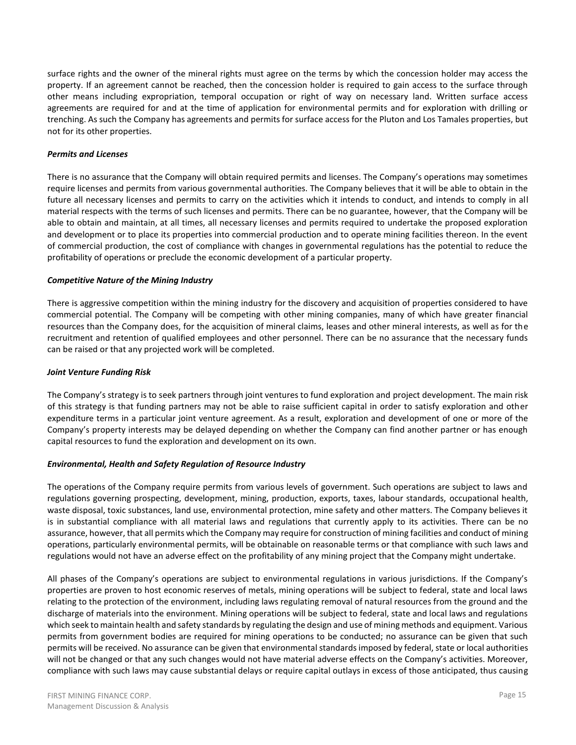surface rights and the owner of the mineral rights must agree on the terms by which the concession holder may access the property. If an agreement cannot be reached, then the concession holder is required to gain access to the surface through other means including expropriation, temporal occupation or right of way on necessary land. Written surface access agreements are required for and at the time of application for environmental permits and for exploration with drilling or trenching. As such the Company has agreements and permits for surface access for the Pluton and Los Tamales properties, but not for its other properties.

## *Permits and Licenses*

There is no assurance that the Company will obtain required permits and licenses. The Company's operations may sometimes require licenses and permits from various governmental authorities. The Company believes that it will be able to obtain in the future all necessary licenses and permits to carry on the activities which it intends to conduct, and intends to comply in all material respects with the terms of such licenses and permits. There can be no guarantee, however, that the Company will be able to obtain and maintain, at all times, all necessary licenses and permits required to undertake the proposed exploration and development or to place its properties into commercial production and to operate mining facilities thereon. In the event of commercial production, the cost of compliance with changes in governmental regulations has the potential to reduce the profitability of operations or preclude the economic development of a particular property.

### *Competitive Nature of the Mining Industry*

There is aggressive competition within the mining industry for the discovery and acquisition of properties considered to have commercial potential. The Company will be competing with other mining companies, many of which have greater financial resources than the Company does, for the acquisition of mineral claims, leases and other mineral interests, as well as for the recruitment and retention of qualified employees and other personnel. There can be no assurance that the necessary funds can be raised or that any projected work will be completed.

### *Joint Venture Funding Risk*

The Company's strategy is to seek partners through joint ventures to fund exploration and project development. The main risk of this strategy is that funding partners may not be able to raise sufficient capital in order to satisfy exploration and other expenditure terms in a particular joint venture agreement. As a result, exploration and development of one or more of the Company's property interests may be delayed depending on whether the Company can find another partner or has enough capital resources to fund the exploration and development on its own.

## *Environmental, Health and Safety Regulation of Resource Industry*

The operations of the Company require permits from various levels of government. Such operations are subject to laws and regulations governing prospecting, development, mining, production, exports, taxes, labour standards, occupational health, waste disposal, toxic substances, land use, environmental protection, mine safety and other matters. The Company believes it is in substantial compliance with all material laws and regulations that currently apply to its activities. There can be no assurance, however, that all permits which the Company may require for construction of mining facilities and conduct of mining operations, particularly environmental permits, will be obtainable on reasonable terms or that compliance with such laws and regulations would not have an adverse effect on the profitability of any mining project that the Company might undertake.

All phases of the Company's operations are subject to environmental regulations in various jurisdictions. If the Company's properties are proven to host economic reserves of metals, mining operations will be subject to federal, state and local laws relating to the protection of the environment, including laws regulating removal of natural resources from the ground and the discharge of materials into the environment. Mining operations will be subject to federal, state and local laws and regulations which seek to maintain health and safety standards by regulating the design and use of mining methods and equipment. Various permits from government bodies are required for mining operations to be conducted; no assurance can be given that such permits will be received. No assurance can be given that environmental standards imposed by federal, state or local authorities will not be changed or that any such changes would not have material adverse effects on the Company's activities. Moreover, compliance with such laws may cause substantial delays or require capital outlays in excess of those anticipated, thus causing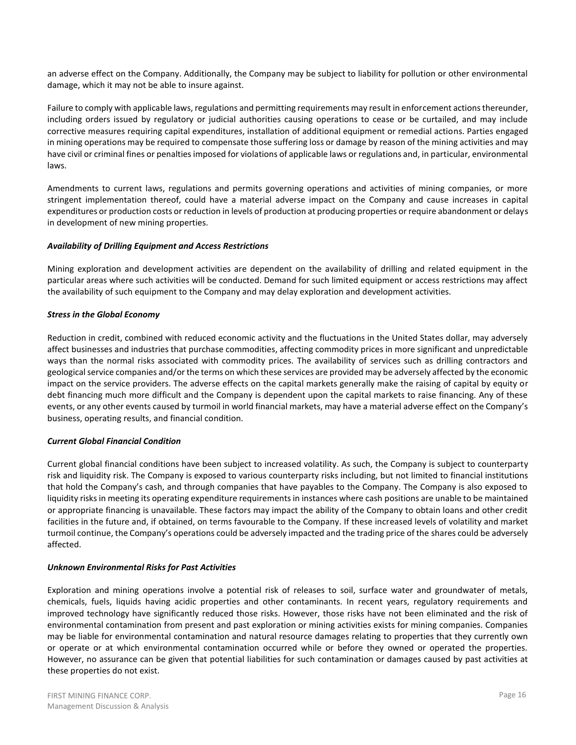an adverse effect on the Company. Additionally, the Company may be subject to liability for pollution or other environmental damage, which it may not be able to insure against.

Failure to comply with applicable laws, regulations and permitting requirements may result in enforcement actions thereunder, including orders issued by regulatory or judicial authorities causing operations to cease or be curtailed, and may include corrective measures requiring capital expenditures, installation of additional equipment or remedial actions. Parties engaged in mining operations may be required to compensate those suffering loss or damage by reason of the mining activities and may have civil or criminal fines or penalties imposed for violations of applicable laws or regulations and, in particular, environmental laws.

Amendments to current laws, regulations and permits governing operations and activities of mining companies, or more stringent implementation thereof, could have a material adverse impact on the Company and cause increases in capital expenditures or production costs or reduction in levels of production at producing properties or require abandonment or delays in development of new mining properties.

## *Availability of Drilling Equipment and Access Restrictions*

Mining exploration and development activities are dependent on the availability of drilling and related equipment in the particular areas where such activities will be conducted. Demand for such limited equipment or access restrictions may affect the availability of such equipment to the Company and may delay exploration and development activities.

## *Stress in the Global Economy*

Reduction in credit, combined with reduced economic activity and the fluctuations in the United States dollar, may adversely affect businesses and industries that purchase commodities, affecting commodity prices in more significant and unpredictable ways than the normal risks associated with commodity prices. The availability of services such as drilling contractors and geological service companies and/or the terms on which these services are provided may be adversely affected by the economic impact on the service providers. The adverse effects on the capital markets generally make the raising of capital by equity or debt financing much more difficult and the Company is dependent upon the capital markets to raise financing. Any of these events, or any other events caused by turmoil in world financial markets, may have a material adverse effect on the Company's business, operating results, and financial condition.

## *Current Global Financial Condition*

Current global financial conditions have been subject to increased volatility. As such, the Company is subject to counterparty risk and liquidity risk. The Company is exposed to various counterparty risks including, but not limited to financial institutions that hold the Company's cash, and through companies that have payables to the Company. The Company is also exposed to liquidity risks in meeting its operating expenditure requirements in instances where cash positions are unable to be maintained or appropriate financing is unavailable. These factors may impact the ability of the Company to obtain loans and other credit facilities in the future and, if obtained, on terms favourable to the Company. If these increased levels of volatility and market turmoil continue, the Company's operations could be adversely impacted and the trading price of the shares could be adversely affected.

## *Unknown Environmental Risks for Past Activities*

Exploration and mining operations involve a potential risk of releases to soil, surface water and groundwater of metals, chemicals, fuels, liquids having acidic properties and other contaminants. In recent years, regulatory requirements and improved technology have significantly reduced those risks. However, those risks have not been eliminated and the risk of environmental contamination from present and past exploration or mining activities exists for mining companies. Companies may be liable for environmental contamination and natural resource damages relating to properties that they currently own or operate or at which environmental contamination occurred while or before they owned or operated the properties. However, no assurance can be given that potential liabilities for such contamination or damages caused by past activities at these properties do not exist.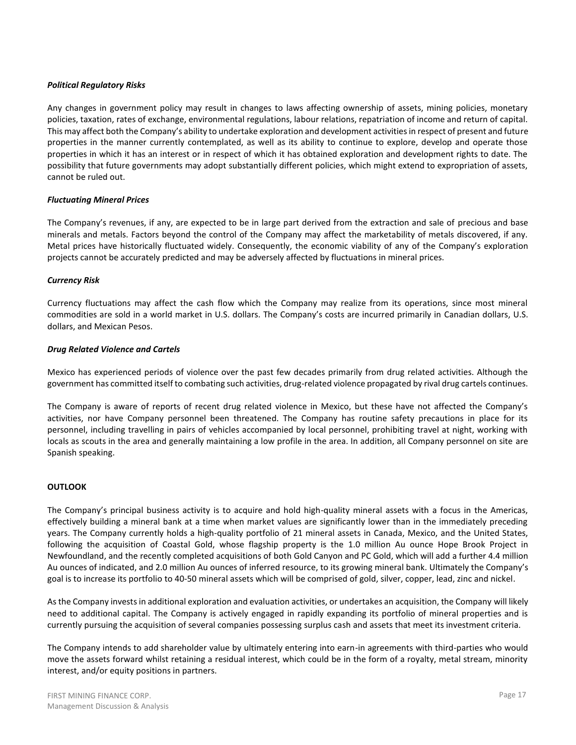### *Political Regulatory Risks*

Any changes in government policy may result in changes to laws affecting ownership of assets, mining policies, monetary policies, taxation, rates of exchange, environmental regulations, labour relations, repatriation of income and return of capital. This may affect both the Company's ability to undertake exploration and development activities in respect of present and future properties in the manner currently contemplated, as well as its ability to continue to explore, develop and operate those properties in which it has an interest or in respect of which it has obtained exploration and development rights to date. The possibility that future governments may adopt substantially different policies, which might extend to expropriation of assets, cannot be ruled out.

### *Fluctuating Mineral Prices*

The Company's revenues, if any, are expected to be in large part derived from the extraction and sale of precious and base minerals and metals. Factors beyond the control of the Company may affect the marketability of metals discovered, if any. Metal prices have historically fluctuated widely. Consequently, the economic viability of any of the Company's exploration projects cannot be accurately predicted and may be adversely affected by fluctuations in mineral prices.

### *Currency Risk*

Currency fluctuations may affect the cash flow which the Company may realize from its operations, since most mineral commodities are sold in a world market in U.S. dollars. The Company's costs are incurred primarily in Canadian dollars, U.S. dollars, and Mexican Pesos.

### *Drug Related Violence and Cartels*

Mexico has experienced periods of violence over the past few decades primarily from drug related activities. Although the government has committed itself to combating such activities, drug-related violence propagated by rival drug cartels continues.

The Company is aware of reports of recent drug related violence in Mexico, but these have not affected the Company's activities, nor have Company personnel been threatened. The Company has routine safety precautions in place for its personnel, including travelling in pairs of vehicles accompanied by local personnel, prohibiting travel at night, working with locals as scouts in the area and generally maintaining a low profile in the area. In addition, all Company personnel on site are Spanish speaking.

### **OUTLOOK**

The Company's principal business activity is to acquire and hold high-quality mineral assets with a focus in the Americas, effectively building a mineral bank at a time when market values are significantly lower than in the immediately preceding years. The Company currently holds a high-quality portfolio of 21 mineral assets in Canada, Mexico, and the United States, following the acquisition of Coastal Gold, whose flagship property is the 1.0 million Au ounce Hope Brook Project in Newfoundland, and the recently completed acquisitions of both Gold Canyon and PC Gold, which will add a further 4.4 million Au ounces of indicated, and 2.0 million Au ounces of inferred resource, to its growing mineral bank. Ultimately the Company's goal is to increase its portfolio to 40-50 mineral assets which will be comprised of gold, silver, copper, lead, zinc and nickel.

As the Company invests in additional exploration and evaluation activities, or undertakes an acquisition, the Company will likely need to additional capital. The Company is actively engaged in rapidly expanding its portfolio of mineral properties and is currently pursuing the acquisition of several companies possessing surplus cash and assets that meet its investment criteria.

The Company intends to add shareholder value by ultimately entering into earn-in agreements with third-parties who would move the assets forward whilst retaining a residual interest, which could be in the form of a royalty, metal stream, minority interest, and/or equity positions in partners.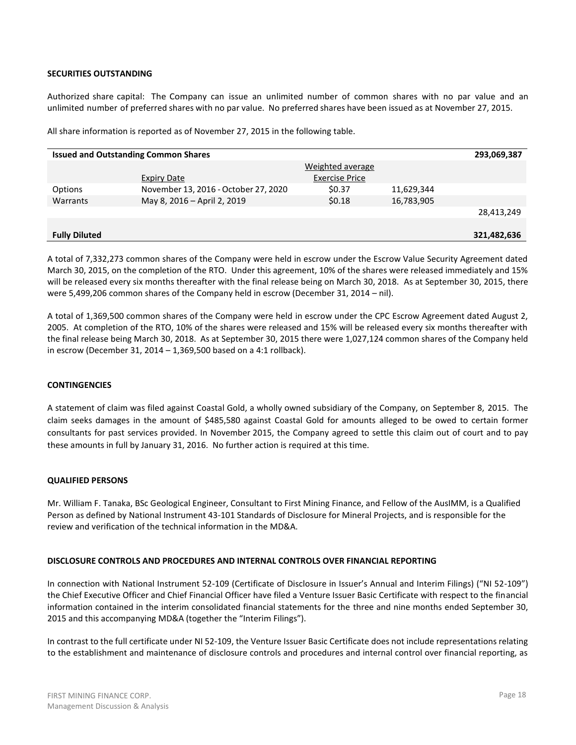### **SECURITIES OUTSTANDING**

Authorized share capital: The Company can issue an unlimited number of common shares with no par value and an unlimited number of preferred shares with no par value. No preferred shares have been issued as at November 27, 2015.

All share information is reported as of November 27, 2015 in the following table.

| <b>Issued and Outstanding Common Shares</b><br>293,069,387 |                                      |                       |            |             |  |  |  |  |
|------------------------------------------------------------|--------------------------------------|-----------------------|------------|-------------|--|--|--|--|
|                                                            |                                      | Weighted average      |            |             |  |  |  |  |
|                                                            | <b>Expiry Date</b>                   | <b>Exercise Price</b> |            |             |  |  |  |  |
| Options                                                    | November 13, 2016 - October 27, 2020 | \$0.37                | 11,629,344 |             |  |  |  |  |
| Warrants                                                   | May 8, 2016 - April 2, 2019          | \$0.18                | 16,783,905 |             |  |  |  |  |
|                                                            |                                      |                       |            | 28,413,249  |  |  |  |  |
|                                                            |                                      |                       |            |             |  |  |  |  |
| <b>Fully Diluted</b>                                       |                                      |                       |            | 321,482,636 |  |  |  |  |

A total of 7,332,273 common shares of the Company were held in escrow under the Escrow Value Security Agreement dated March 30, 2015, on the completion of the RTO. Under this agreement, 10% of the shares were released immediately and 15% will be released every six months thereafter with the final release being on March 30, 2018. As at September 30, 2015, there were 5,499,206 common shares of the Company held in escrow (December 31, 2014 – nil).

A total of 1,369,500 common shares of the Company were held in escrow under the CPC Escrow Agreement dated August 2, 2005. At completion of the RTO, 10% of the shares were released and 15% will be released every six months thereafter with the final release being March 30, 2018. As at September 30, 2015 there were 1,027,124 common shares of the Company held in escrow (December 31, 2014 – 1,369,500 based on a 4:1 rollback).

#### **CONTINGENCIES**

A statement of claim was filed against Coastal Gold, a wholly owned subsidiary of the Company, on September 8, 2015. The claim seeks damages in the amount of \$485,580 against Coastal Gold for amounts alleged to be owed to certain former consultants for past services provided. In November 2015, the Company agreed to settle this claim out of court and to pay these amounts in full by January 31, 2016. No further action is required at this time.

#### **QUALIFIED PERSONS**

Mr. William F. Tanaka, BSc Geological Engineer, Consultant to First Mining Finance, and Fellow of the AusIMM, is a Qualified Person as defined by National Instrument 43-101 Standards of Disclosure for Mineral Projects, and is responsible for the review and verification of the technical information in the MD&A.

#### **DISCLOSURE CONTROLS AND PROCEDURES AND INTERNAL CONTROLS OVER FINANCIAL REPORTING**

In connection with National Instrument 52-109 (Certificate of Disclosure in Issuer's Annual and Interim Filings) ("NI 52-109") the Chief Executive Officer and Chief Financial Officer have filed a Venture Issuer Basic Certificate with respect to the financial information contained in the interim consolidated financial statements for the three and nine months ended September 30, 2015 and this accompanying MD&A (together the "Interim Filings").

In contrast to the full certificate under NI 52-109, the Venture Issuer Basic Certificate does not include representations relating to the establishment and maintenance of disclosure controls and procedures and internal control over financial reporting, as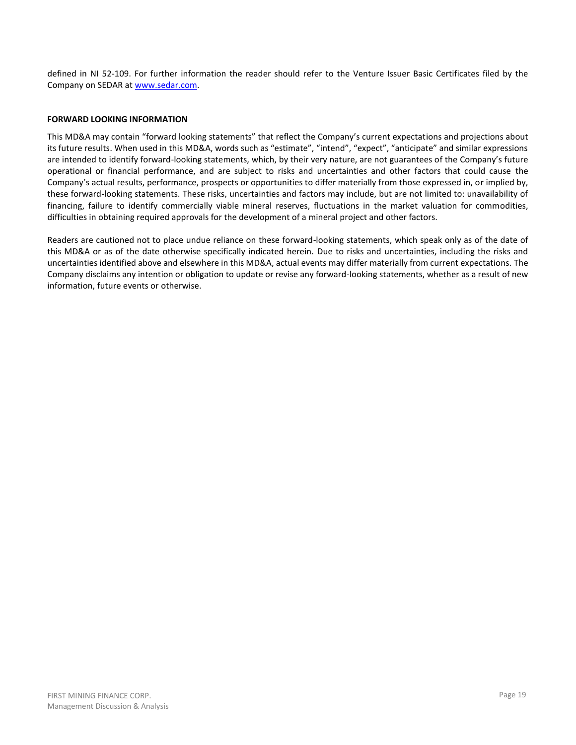defined in NI 52-109. For further information the reader should refer to the Venture Issuer Basic Certificates filed by the Company on SEDAR a[t www.sedar.com.](http://www.sedar.com/)

### **FORWARD LOOKING INFORMATION**

This MD&A may contain "forward looking statements" that reflect the Company's current expectations and projections about its future results. When used in this MD&A, words such as "estimate", "intend", "expect", "anticipate" and similar expressions are intended to identify forward-looking statements, which, by their very nature, are not guarantees of the Company's future operational or financial performance, and are subject to risks and uncertainties and other factors that could cause the Company's actual results, performance, prospects or opportunities to differ materially from those expressed in, or implied by, these forward-looking statements. These risks, uncertainties and factors may include, but are not limited to: unavailability of financing, failure to identify commercially viable mineral reserves, fluctuations in the market valuation for commodities, difficulties in obtaining required approvals for the development of a mineral project and other factors.

Readers are cautioned not to place undue reliance on these forward-looking statements, which speak only as of the date of this MD&A or as of the date otherwise specifically indicated herein. Due to risks and uncertainties, including the risks and uncertainties identified above and elsewhere in this MD&A, actual events may differ materially from current expectations. The Company disclaims any intention or obligation to update or revise any forward-looking statements, whether as a result of new information, future events or otherwise.